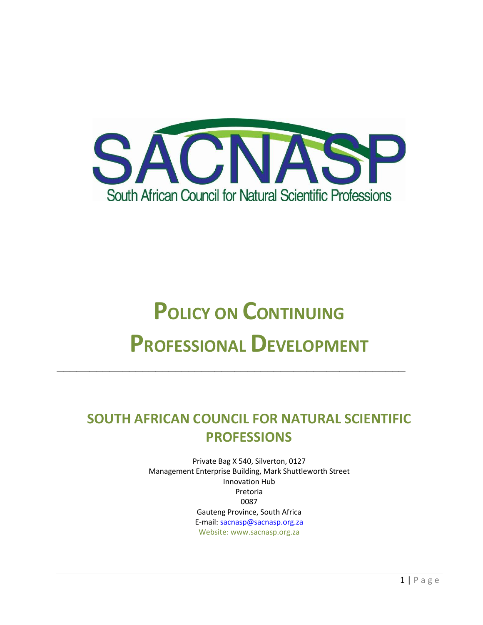

# **POLICY ON CONTINUING PROFESSIONAL DEVELOPMENT**

**\_\_\_\_\_\_\_\_\_\_\_\_\_\_\_\_\_\_\_\_\_\_\_\_\_\_\_\_\_\_\_\_\_\_\_\_\_\_\_\_\_\_\_\_\_\_\_\_\_\_\_\_\_**

# **SOUTH AFRICAN COUNCIL FOR NATURAL SCIENTIFIC PROFESSIONS**

Private Bag X 540, Silverton, 0127 Management Enterprise Building, Mark Shuttleworth Street Innovation Hub Pretoria 0087 Gauteng Province, South Africa E-mail: [sacnasp@sacnasp.org.za](mailto:sacnasp@sacnasp.org.za) Website[: www.sacnasp.org.za](http://www.sacnasp.org.za/)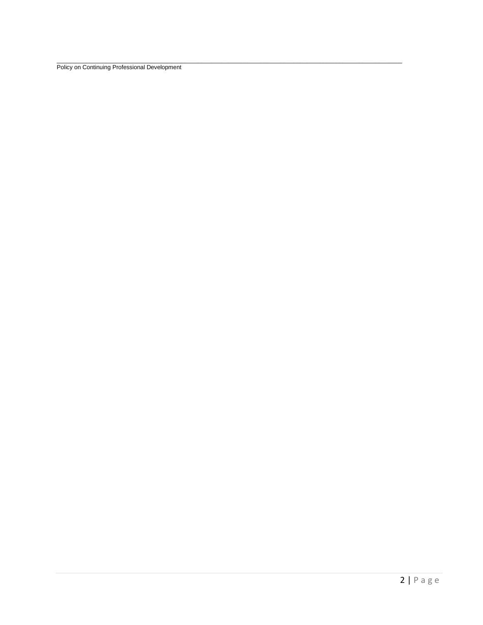\_\_\_\_\_\_\_\_\_\_\_\_\_\_\_\_\_\_\_\_\_\_\_\_\_\_\_\_\_\_\_\_\_\_\_\_\_\_\_\_\_\_\_\_\_\_\_\_\_\_\_\_\_\_\_\_\_\_\_\_\_\_\_\_\_\_\_\_\_\_\_\_\_\_\_\_\_\_\_\_\_\_\_\_\_\_\_\_\_\_\_\_\_\_\_\_\_\_\_\_\_\_\_\_\_ Policy on Continuing Professional Development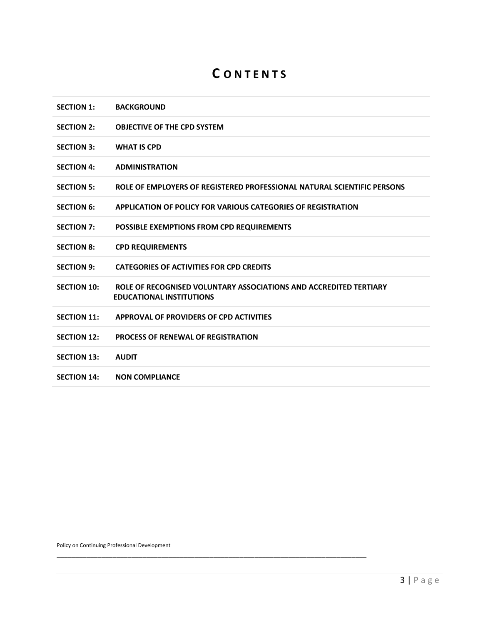# **C O N T E N T S**

| <b>SECTION 1:</b>  | <b>BACKGROUND</b>                                                                                    |
|--------------------|------------------------------------------------------------------------------------------------------|
| <b>SECTION 2:</b>  | <b>OBJECTIVE OF THE CPD SYSTEM</b>                                                                   |
| <b>SECTION 3:</b>  | <b>WHAT IS CPD</b>                                                                                   |
| <b>SECTION 4:</b>  | <b>ADMINISTRATION</b>                                                                                |
| <b>SECTION 5:</b>  | ROLE OF EMPLOYERS OF REGISTERED PROFESSIONAL NATURAL SCIENTIFIC PERSONS                              |
| <b>SECTION 6:</b>  | <b>APPLICATION OF POLICY FOR VARIOUS CATEGORIES OF REGISTRATION</b>                                  |
| <b>SECTION 7:</b>  | <b>POSSIBLE EXEMPTIONS FROM CPD REQUIREMENTS</b>                                                     |
| <b>SECTION 8:</b>  | <b>CPD REQUIREMENTS</b>                                                                              |
| <b>SECTION 9:</b>  | <b>CATEGORIES OF ACTIVITIES FOR CPD CREDITS</b>                                                      |
| <b>SECTION 10:</b> | ROLE OF RECOGNISED VOLUNTARY ASSOCIATIONS AND ACCREDITED TERTIARY<br><b>EDUCATIONAL INSTITUTIONS</b> |
| <b>SECTION 11:</b> | APPROVAL OF PROVIDERS OF CPD ACTIVITIES                                                              |
| <b>SECTION 12:</b> | <b>PROCESS OF RENEWAL OF REGISTRATION</b>                                                            |
| <b>SECTION 13:</b> | <b>AUDIT</b>                                                                                         |
| <b>SECTION 14:</b> | <b>NON COMPLIANCE</b>                                                                                |

\_\_\_\_\_\_\_\_\_\_\_\_\_\_\_\_\_\_\_\_\_\_\_\_\_\_\_\_\_\_\_\_\_\_\_\_\_\_\_\_\_\_\_\_\_\_\_\_\_\_\_\_\_\_\_\_\_\_\_\_\_\_\_\_\_\_\_\_\_\_\_\_\_\_\_\_\_\_\_\_\_\_\_

Policy on Continuing Professional Development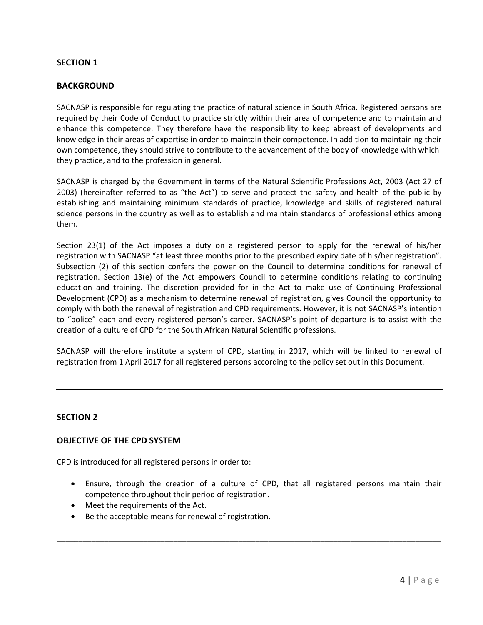#### **BACKGROUND**

SACNASP is responsible for regulating the practice of natural science in South Africa. Registered persons are required by their Code of Conduct to practice strictly within their area of competence and to maintain and enhance this competence. They therefore have the responsibility to keep abreast of developments and knowledge in their areas of expertise in order to maintain their competence. In addition to maintaining their own competence, they should strive to contribute to the advancement of the body of knowledge with which they practice, and to the profession in general.

SACNASP is charged by the Government in terms of the Natural Scientific Professions Act, 2003 (Act 27 of 2003) (hereinafter referred to as "the Act") to serve and protect the safety and health of the public by establishing and maintaining minimum standards of practice, knowledge and skills of registered natural science persons in the country as well as to establish and maintain standards of professional ethics among them.

Section 23(1) of the Act imposes a duty on a registered person to apply for the renewal of his/her registration with SACNASP "at least three months prior to the prescribed expiry date of his/her registration". Subsection (2) of this section confers the power on the Council to determine conditions for renewal of registration. Section 13(e) of the Act empowers Council to determine conditions relating to continuing education and training. The discretion provided for in the Act to make use of Continuing Professional Development (CPD) as a mechanism to determine renewal of registration, gives Council the opportunity to comply with both the renewal of registration and CPD requirements. However, it is not SACNASP's intention to "police" each and every registered person's career. SACNASP's point of departure is to assist with the creation of a culture of CPD for the South African Natural Scientific professions.

SACNASP will therefore institute a system of CPD, starting in 2017, which will be linked to renewal of registration from 1 April 2017 for all registered persons according to the policy set out in this Document.

# **SECTION 2**

#### **OBJECTIVE OF THE CPD SYSTEM**

CPD is introduced for all registered persons in order to:

• Ensure, through the creation of a culture of CPD, that all registered persons maintain their competence throughout their period of registration.

- Meet the requirements of the Act.
- Be the acceptable means for renewal of registration.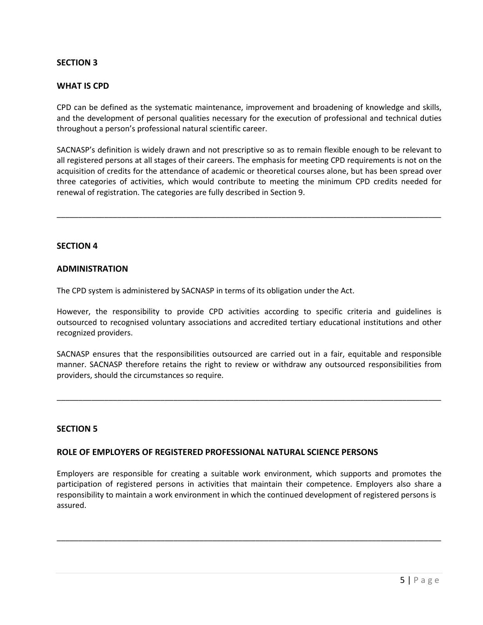#### **WHAT IS CPD**

CPD can be defined as the systematic maintenance, improvement and broadening of knowledge and skills, and the development of personal qualities necessary for the execution of professional and technical duties throughout a person's professional natural scientific career.

SACNASP's definition is widely drawn and not prescriptive so as to remain flexible enough to be relevant to all registered persons at all stages of their careers. The emphasis for meeting CPD requirements is not on the acquisition of credits for the attendance of academic or theoretical courses alone, but has been spread over three categories of activities, which would contribute to meeting the minimum CPD credits needed for renewal of registration. The categories are fully described in Section 9.

\_\_\_\_\_\_\_\_\_\_\_\_\_\_\_\_\_\_\_\_\_\_\_\_\_\_\_\_\_\_\_\_\_\_\_\_\_\_\_\_\_\_\_\_\_\_\_\_\_\_\_\_\_\_\_\_\_\_\_\_\_\_\_\_\_\_\_\_\_\_\_\_\_\_\_\_\_\_\_\_\_\_\_\_\_\_\_\_\_

#### **SECTION 4**

#### **ADMINISTRATION**

The CPD system is administered by SACNASP in terms of its obligation under the Act.

However, the responsibility to provide CPD activities according to specific criteria and guidelines is outsourced to recognised voluntary associations and accredited tertiary educational institutions and other recognized providers.

SACNASP ensures that the responsibilities outsourced are carried out in a fair, equitable and responsible manner. SACNASP therefore retains the right to review or withdraw any outsourced responsibilities from providers, should the circumstances so require.

\_\_\_\_\_\_\_\_\_\_\_\_\_\_\_\_\_\_\_\_\_\_\_\_\_\_\_\_\_\_\_\_\_\_\_\_\_\_\_\_\_\_\_\_\_\_\_\_\_\_\_\_\_\_\_\_\_\_\_\_\_\_\_\_\_\_\_\_\_\_\_\_\_\_\_\_\_\_\_\_\_\_\_\_\_\_\_\_\_

#### **SECTION 5**

#### **ROLE OF EMPLOYERS OF REGISTERED PROFESSIONAL NATURAL SCIENCE PERSONS**

Employers are responsible for creating a suitable work environment, which supports and promotes the participation of registered persons in activities that maintain their competence. Employers also share a responsibility to maintain a work environment in which the continued development of registered persons is assured.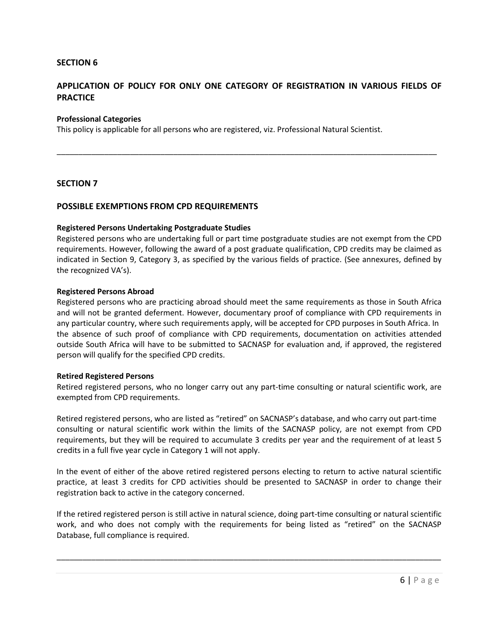# **APPLICATION OF POLICY FOR ONLY ONE CATEGORY OF REGISTRATION IN VARIOUS FIELDS OF PRACTICE**

\_\_\_\_\_\_\_\_\_\_\_\_\_\_\_\_\_\_\_\_\_\_\_\_\_\_\_\_\_\_\_\_\_\_\_\_\_\_\_\_\_\_\_\_\_\_\_\_\_\_\_\_\_\_\_\_\_\_\_\_\_\_\_\_\_\_\_\_\_\_\_\_\_\_\_\_\_\_\_\_\_\_\_\_\_\_\_\_

#### **Professional Categories**

This policy is applicable for all persons who are registered, viz. Professional Natural Scientist.

#### **SECTION 7**

#### **POSSIBLE EXEMPTIONS FROM CPD REQUIREMENTS**

#### **Registered Persons Undertaking Postgraduate Studies**

Registered persons who are undertaking full or part time postgraduate studies are not exempt from the CPD requirements. However, following the award of a post graduate qualification, CPD credits may be claimed as indicated in Section 9, Category 3, as specified by the various fields of practice. (See annexures, defined by the recognized VA's).

#### **Registered Persons Abroad**

Registered persons who are practicing abroad should meet the same requirements as those in South Africa and will not be granted deferment. However, documentary proof of compliance with CPD requirements in any particular country, where such requirements apply, will be accepted for CPD purposes in South Africa. In the absence of such proof of compliance with CPD requirements, documentation on activities attended outside South Africa will have to be submitted to SACNASP for evaluation and, if approved, the registered person will qualify for the specified CPD credits.

#### **Retired Registered Persons**

Retired registered persons, who no longer carry out any part-time consulting or natural scientific work, are exempted from CPD requirements.

Retired registered persons, who are listed as "retired" on SACNASP's database, and who carry out part-time consulting or natural scientific work within the limits of the SACNASP policy, are not exempt from CPD requirements, but they will be required to accumulate 3 credits per year and the requirement of at least 5 credits in a full five year cycle in Category 1 will not apply.

In the event of either of the above retired registered persons electing to return to active natural scientific practice, at least 3 credits for CPD activities should be presented to SACNASP in order to change their registration back to active in the category concerned.

If the retired registered person is still active in natural science, doing part-time consulting or natural scientific work, and who does not comply with the requirements for being listed as "retired" on the SACNASP Database, full compliance is required.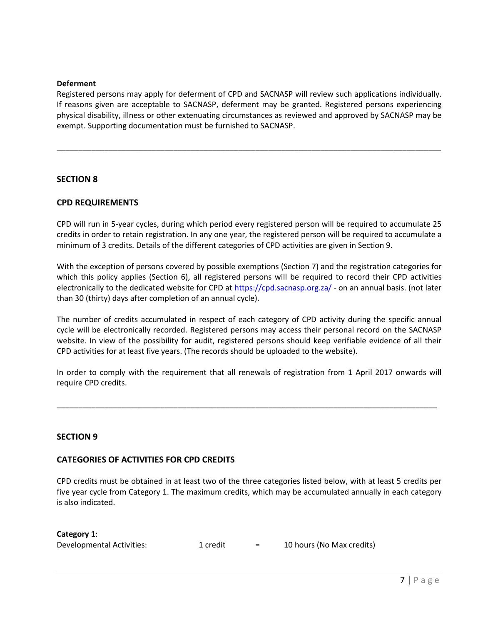#### **Deferment**

Registered persons may apply for deferment of CPD and SACNASP will review such applications individually. If reasons given are acceptable to SACNASP, deferment may be granted. Registered persons experiencing physical disability, illness or other extenuating circumstances as reviewed and approved by SACNASP may be exempt. Supporting documentation must be furnished to SACNASP.

\_\_\_\_\_\_\_\_\_\_\_\_\_\_\_\_\_\_\_\_\_\_\_\_\_\_\_\_\_\_\_\_\_\_\_\_\_\_\_\_\_\_\_\_\_\_\_\_\_\_\_\_\_\_\_\_\_\_\_\_\_\_\_\_\_\_\_\_\_\_\_\_\_\_\_\_\_\_\_\_\_\_\_\_\_\_\_\_\_

#### **SECTION 8**

#### **CPD REQUIREMENTS**

CPD will run in 5-year cycles, during which period every registered person will be required to accumulate 25 credits in order to retain registration. In any one year, the registered person will be required to accumulate a minimum of 3 credits. Details of the different categories of CPD activities are given in Section 9.

With the exception of persons covered by possible exemptions (Section 7) and the registration categories for which this policy applies (Section 6), all registered persons will be required to record their CPD activities electronically to the dedicated website for CPD at https://cpd.sacnasp.org.za/ - on an annual basis. (not later than 30 (thirty) days after completion of an annual cycle).

The number of credits accumulated in respect of each category of CPD activity during the specific annual cycle will be electronically recorded. Registered persons may access their personal record on the SACNASP website. In view of the possibility for audit, registered persons should keep verifiable evidence of all their CPD activities for at least five years. (The records should be uploaded to the website).

In order to comply with the requirement that all renewals of registration from 1 April 2017 onwards will require CPD credits.

\_\_\_\_\_\_\_\_\_\_\_\_\_\_\_\_\_\_\_\_\_\_\_\_\_\_\_\_\_\_\_\_\_\_\_\_\_\_\_\_\_\_\_\_\_\_\_\_\_\_\_\_\_\_\_\_\_\_\_\_\_\_\_\_\_\_\_\_\_\_\_\_\_\_\_\_\_\_\_\_\_\_\_\_\_\_\_\_

#### **SECTION 9**

#### **CATEGORIES OF ACTIVITIES FOR CPD CREDITS**

CPD credits must be obtained in at least two of the three categories listed below, with at least 5 credits per five year cycle from Category 1. The maximum credits, which may be accumulated annually in each category is also indicated.

#### **Category 1**:

| Developmental Activities: | 1 credit | 10 hours (No Max credits) |
|---------------------------|----------|---------------------------|
|                           |          |                           |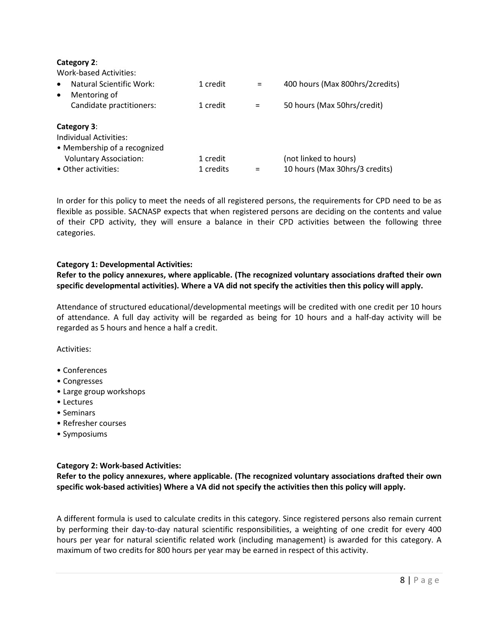#### **Category 2**:

Work-based Activities:

| $\bullet$<br>$\bullet$ | Natural Scientific Work:<br>Mentoring of | 1 credit  | $=$ | 400 hours (Max 800hrs/2credits) |  |  |
|------------------------|------------------------------------------|-----------|-----|---------------------------------|--|--|
|                        | Candidate practitioners:                 | 1 credit  | $=$ | 50 hours (Max 50hrs/credit)     |  |  |
| Category 3:            |                                          |           |     |                                 |  |  |
| Individual Activities: |                                          |           |     |                                 |  |  |
|                        | • Membership of a recognized             |           |     |                                 |  |  |
|                        | <b>Voluntary Association:</b>            | 1 credit  |     | (not linked to hours)           |  |  |
| • Other activities:    |                                          | 1 credits | $=$ | 10 hours (Max 30hrs/3 credits)  |  |  |

In order for this policy to meet the needs of all registered persons, the requirements for CPD need to be as flexible as possible. SACNASP expects that when registered persons are deciding on the contents and value of their CPD activity, they will ensure a balance in their CPD activities between the following three categories.

# **Category 1: Developmental Activities:**

#### **Refer to the policy annexures, where applicable. (The recognized voluntary associations drafted their own specific developmental activities). Where a VA did not specify the activities then this policy will apply.**

Attendance of structured educational/developmental meetings will be credited with one credit per 10 hours of attendance. A full day activity will be regarded as being for 10 hours and a half-day activity will be regarded as 5 hours and hence a half a credit.

Activities:

- Conferences
- Congresses
- Large group workshops
- Lectures
- Seminars
- Refresher courses
- Symposiums

# **Category 2: Work-based Activities:**

**Refer to the policy annexures, where applicable. (The recognized voluntary associations drafted their own specific wok-based activities) Where a VA did not specify the activities then this policy will apply.**

A different formula is used to calculate credits in this category. Since registered persons also remain current by performing their day-to-day natural scientific responsibilities, a weighting of one credit for every 400 hours per year for natural scientific related work (including management) is awarded for this category. A maximum of two credits for 800 hours per year may be earned in respect of this activity.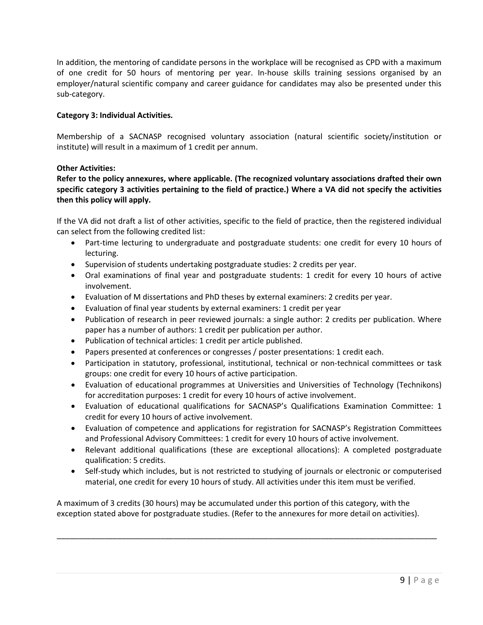In addition, the mentoring of candidate persons in the workplace will be recognised as CPD with a maximum of one credit for 50 hours of mentoring per year. In-house skills training sessions organised by an employer/natural scientific company and career guidance for candidates may also be presented under this sub-category.

# **Category 3: Individual Activities.**

Membership of a SACNASP recognised voluntary association (natural scientific society/institution or institute) will result in a maximum of 1 credit per annum.

# **Other Activities:**

**Refer to the policy annexures, where applicable. (The recognized voluntary associations drafted their own specific category 3 activities pertaining to the field of practice.) Where a VA did not specify the activities then this policy will apply.**

If the VA did not draft a list of other activities, specific to the field of practice, then the registered individual can select from the following credited list:

- Part-time lecturing to undergraduate and postgraduate students: one credit for every 10 hours of lecturing.
- Supervision of students undertaking postgraduate studies: 2 credits per year.
- Oral examinations of final year and postgraduate students: 1 credit for every 10 hours of active involvement.
- Evaluation of M dissertations and PhD theses by external examiners: 2 credits per year.
- Evaluation of final year students by external examiners: 1 credit per year
- Publication of research in peer reviewed journals: a single author: 2 credits per publication. Where paper has a number of authors: 1 credit per publication per author.
- Publication of technical articles: 1 credit per article published.
- Papers presented at conferences or congresses / poster presentations: 1 credit each.
- Participation in statutory, professional, institutional, technical or non-technical committees or task groups: one credit for every 10 hours of active participation.
- Evaluation of educational programmes at Universities and Universities of Technology (Technikons) for accreditation purposes: 1 credit for every 10 hours of active involvement.
- Evaluation of educational qualifications for SACNASP's Qualifications Examination Committee: 1 credit for every 10 hours of active involvement.
- Evaluation of competence and applications for registration for SACNASP's Registration Committees and Professional Advisory Committees: 1 credit for every 10 hours of active involvement.
- Relevant additional qualifications (these are exceptional allocations): A completed postgraduate qualification: 5 credits.
- Self-study which includes, but is not restricted to studying of journals or electronic or computerised material, one credit for every 10 hours of study. All activities under this item must be verified.

A maximum of 3 credits (30 hours) may be accumulated under this portion of this category, with the exception stated above for postgraduate studies. (Refer to the annexures for more detail on activities).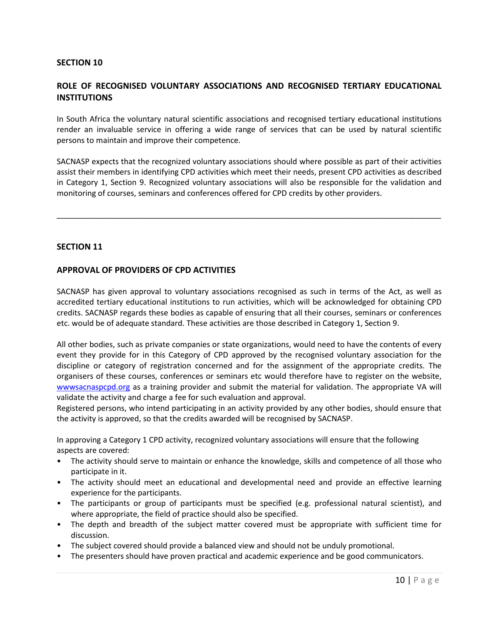# **ROLE OF RECOGNISED VOLUNTARY ASSOCIATIONS AND RECOGNISED TERTIARY EDUCATIONAL INSTITUTIONS**

In South Africa the voluntary natural scientific associations and recognised tertiary educational institutions render an invaluable service in offering a wide range of services that can be used by natural scientific persons to maintain and improve their competence.

SACNASP expects that the recognized voluntary associations should where possible as part of their activities assist their members in identifying CPD activities which meet their needs, present CPD activities as described in Category 1, Section 9. Recognized voluntary associations will also be responsible for the validation and monitoring of courses, seminars and conferences offered for CPD credits by other providers.

\_\_\_\_\_\_\_\_\_\_\_\_\_\_\_\_\_\_\_\_\_\_\_\_\_\_\_\_\_\_\_\_\_\_\_\_\_\_\_\_\_\_\_\_\_\_\_\_\_\_\_\_\_\_\_\_\_\_\_\_\_\_\_\_\_\_\_\_\_\_\_\_\_\_\_\_\_\_\_\_\_\_\_\_\_\_\_\_\_

#### **SECTION 11**

#### **APPROVAL OF PROVIDERS OF CPD ACTIVITIES**

SACNASP has given approval to voluntary associations recognised as such in terms of the Act, as well as accredited tertiary educational institutions to run activities, which will be acknowledged for obtaining CPD credits. SACNASP regards these bodies as capable of ensuring that all their courses, seminars or conferences etc. would be of adequate standard. These activities are those described in Category 1, Section 9.

All other bodies, such as private companies or state organizations, would need to have the contents of every event they provide for in this Category of CPD approved by the recognised voluntary association for the discipline or category of registration concerned and for the assignment of the appropriate credits. The organisers of these courses, conferences or seminars etc would therefore have to register on the website, wwwsacnaspcpd.org as a training provider and submit the material for validation. The appropriate VA will validate the activity and charge a fee for such evaluation and approval.

Registered persons, who intend participating in an activity provided by any other bodies, should ensure that the activity is approved, so that the credits awarded will be recognised by SACNASP.

In approving a Category 1 CPD activity, recognized voluntary associations will ensure that the following aspects are covered:

- The activity should serve to maintain or enhance the knowledge, skills and competence of all those who participate in it.
- The activity should meet an educational and developmental need and provide an effective learning experience for the participants.
- The participants or group of participants must be specified (e.g. professional natural scientist), and where appropriate, the field of practice should also be specified.
- The depth and breadth of the subject matter covered must be appropriate with sufficient time for discussion.
- The subject covered should provide a balanced view and should not be unduly promotional.
- The presenters should have proven practical and academic experience and be good communicators.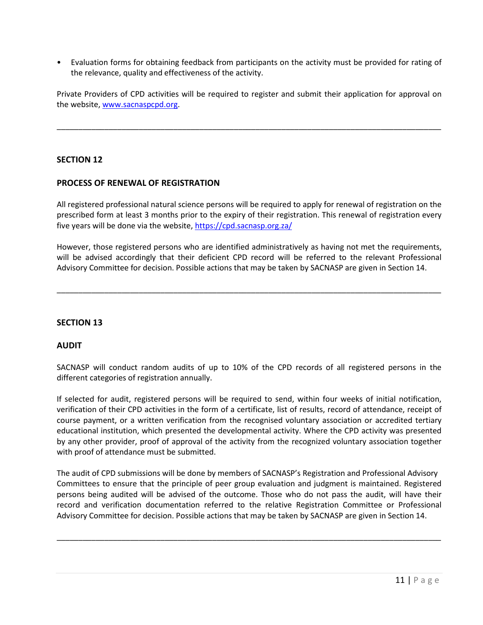• Evaluation forms for obtaining feedback from participants on the activity must be provided for rating of the relevance, quality and effectiveness of the activity.

Private Providers of CPD activities will be required to register and submit their application for approval on the website, [www.sacnaspcpd.org.](http://www.sacnaspcpd.org/)

\_\_\_\_\_\_\_\_\_\_\_\_\_\_\_\_\_\_\_\_\_\_\_\_\_\_\_\_\_\_\_\_\_\_\_\_\_\_\_\_\_\_\_\_\_\_\_\_\_\_\_\_\_\_\_\_\_\_\_\_\_\_\_\_\_\_\_\_\_\_\_\_\_\_\_\_\_\_\_\_\_\_\_\_\_\_\_\_\_

# **SECTION 12**

#### **PROCESS OF RENEWAL OF REGISTRATION**

All registered professional natural science persons will be required to apply for renewal of registration on the prescribed form at least 3 months prior to the expiry of their registration. This renewal of registration every five years will be done via the website,<https://cpd.sacnasp.org.za/>

However, those registered persons who are identified administratively as having not met the requirements, will be advised accordingly that their deficient CPD record will be referred to the relevant Professional Advisory Committee for decision. Possible actions that may be taken by SACNASP are given in Section 14.

\_\_\_\_\_\_\_\_\_\_\_\_\_\_\_\_\_\_\_\_\_\_\_\_\_\_\_\_\_\_\_\_\_\_\_\_\_\_\_\_\_\_\_\_\_\_\_\_\_\_\_\_\_\_\_\_\_\_\_\_\_\_\_\_\_\_\_\_\_\_\_\_\_\_\_\_\_\_\_\_\_\_\_\_\_\_\_\_\_

#### **SECTION 13**

#### **AUDIT**

SACNASP will conduct random audits of up to 10% of the CPD records of all registered persons in the different categories of registration annually.

If selected for audit, registered persons will be required to send, within four weeks of initial notification, verification of their CPD activities in the form of a certificate, list of results, record of attendance, receipt of course payment, or a written verification from the recognised voluntary association or accredited tertiary educational institution, which presented the developmental activity. Where the CPD activity was presented by any other provider, proof of approval of the activity from the recognized voluntary association together with proof of attendance must be submitted.

The audit of CPD submissions will be done by members of SACNASP's Registration and Professional Advisory Committees to ensure that the principle of peer group evaluation and judgment is maintained. Registered persons being audited will be advised of the outcome. Those who do not pass the audit, will have their record and verification documentation referred to the relative Registration Committee or Professional Advisory Committee for decision. Possible actions that may be taken by SACNASP are given in Section 14.